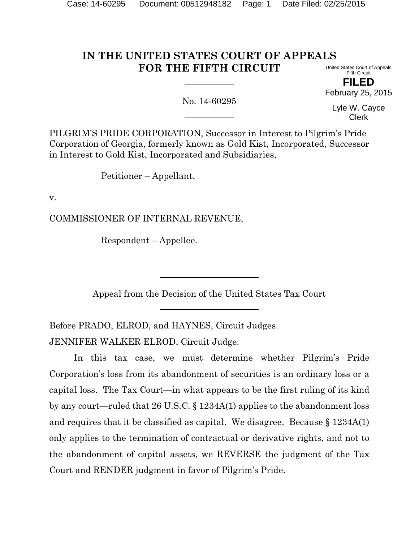#### **IN THE UNITED STATES COURT OF APPEALS FOR THE FIFTH CIRCUIT** United States Court of Appeals

Fifth Circuit **FILED**

February 25, 2015

No. 14-60295

Lyle W. Cayce Clerk

PILGRIM'S PRIDE CORPORATION, Successor in Interest to Pilgrim's Pride Corporation of Georgia, formerly known as Gold Kist, Incorporated, Successor in Interest to Gold Kist, Incorporated and Subsidiaries,

Petitioner – Appellant,

v.

COMMISSIONER OF INTERNAL REVENUE,

Respondent – Appellee.

Appeal from the Decision of the United States Tax Court

Before PRADO, ELROD, and HAYNES, Circuit Judges. JENNIFER WALKER ELROD, Circuit Judge:

In this tax case, we must determine whether Pilgrim's Pride Corporation's loss from its abandonment of securities is an ordinary loss or a capital loss. The Tax Court—in what appears to be the first ruling of its kind by any court—ruled that 26 U.S.C. § 1234A(1) applies to the abandonment loss and requires that it be classified as capital. We disagree. Because  $\S$  1234A(1) only applies to the termination of contractual or derivative rights, and not to the abandonment of capital assets, we REVERSE the judgment of the Tax Court and RENDER judgment in favor of Pilgrim's Pride.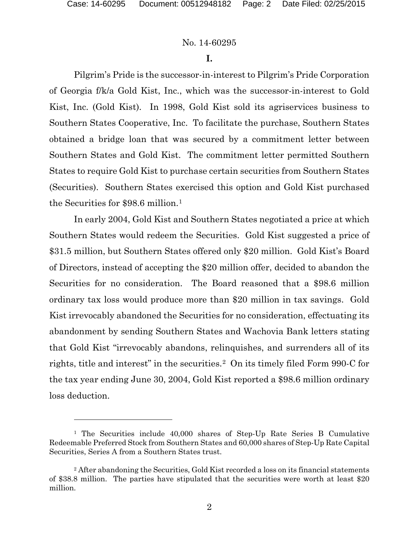# No. 14-60295

# **I.**

Pilgrim's Pride is the successor-in-interest to Pilgrim's Pride Corporation of Georgia f/k/a Gold Kist, Inc., which was the successor-in-interest to Gold Kist, Inc. (Gold Kist). In 1998, Gold Kist sold its agriservices business to Southern States Cooperative, Inc. To facilitate the purchase, Southern States obtained a bridge loan that was secured by a commitment letter between Southern States and Gold Kist. The commitment letter permitted Southern States to require Gold Kist to purchase certain securities from Southern States (Securities). Southern States exercised this option and Gold Kist purchased the Securities for \$98.6 million.[1](#page-1-0)

In early 2004, Gold Kist and Southern States negotiated a price at which Southern States would redeem the Securities. Gold Kist suggested a price of \$31.5 million, but Southern States offered only \$20 million. Gold Kist's Board of Directors, instead of accepting the \$20 million offer, decided to abandon the Securities for no consideration. The Board reasoned that a \$98.6 million ordinary tax loss would produce more than \$20 million in tax savings. Gold Kist irrevocably abandoned the Securities for no consideration, effectuating its abandonment by sending Southern States and Wachovia Bank letters stating that Gold Kist "irrevocably abandons, relinquishes, and surrenders all of its rights, title and interest" in the securities.[2](#page-1-1) On its timely filed Form 990-C for the tax year ending June 30, 2004, Gold Kist reported a \$98.6 million ordinary loss deduction.

<span id="page-1-0"></span><sup>&</sup>lt;sup>1</sup> The Securities include 40,000 shares of Step-Up Rate Series B Cumulative Redeemable Preferred Stock from Southern States and 60,000 shares of Step-Up Rate Capital Securities, Series A from a Southern States trust.

<span id="page-1-1"></span><sup>&</sup>lt;sup>2</sup> After abandoning the Securities, Gold Kist recorded a loss on its financial statements of \$38.8 million. The parties have stipulated that the securities were worth at least \$20 million.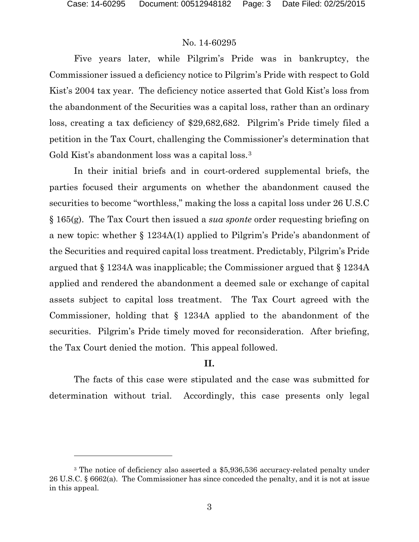# No. 14-60295

Five years later, while Pilgrim's Pride was in bankruptcy, the Commissioner issued a deficiency notice to Pilgrim's Pride with respect to Gold Kist's 2004 tax year. The deficiency notice asserted that Gold Kist's loss from the abandonment of the Securities was a capital loss, rather than an ordinary loss, creating a tax deficiency of \$29,682,682. Pilgrim's Pride timely filed a petition in the Tax Court, challenging the Commissioner's determination that Gold Kist's abandonment loss was a capital loss.<sup>[3](#page-2-0)</sup>

In their initial briefs and in court-ordered supplemental briefs, the parties focused their arguments on whether the abandonment caused the securities to become "worthless," making the loss a capital loss under 26 U.S.C § 165(g). The Tax Court then issued a *sua sponte* order requesting briefing on a new topic: whether § 1234A(1) applied to Pilgrim's Pride's abandonment of the Securities and required capital loss treatment. Predictably, Pilgrim's Pride argued that § 1234A was inapplicable; the Commissioner argued that § 1234A applied and rendered the abandonment a deemed sale or exchange of capital assets subject to capital loss treatment. The Tax Court agreed with the Commissioner, holding that § 1234A applied to the abandonment of the securities. Pilgrim's Pride timely moved for reconsideration. After briefing, the Tax Court denied the motion. This appeal followed.

#### **II.**

The facts of this case were stipulated and the case was submitted for determination without trial. Accordingly, this case presents only legal

<span id="page-2-0"></span><sup>&</sup>lt;sup>3</sup> The notice of deficiency also asserted a \$5,936,536 accuracy-related penalty under 26 U.S.C. § 6662(a). The Commissioner has since conceded the penalty, and it is not at issue in this appeal.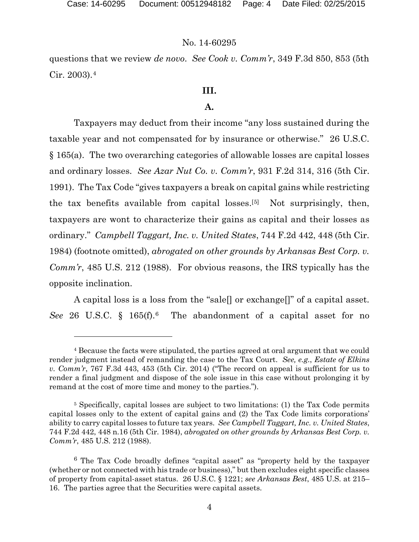#### No. 14-60295

questions that we review *de novo*. *See Cook v. Comm'r*, 349 F.3d 850, 853 (5th Cir. 2003).[4](#page-3-0)

# **III.**

# **A.**

Taxpayers may deduct from their income "any loss sustained during the taxable year and not compensated for by insurance or otherwise." 26 U.S.C. § 165(a). The two overarching categories of allowable losses are capital losses and ordinary losses. *See Azar Nut Co. v. Comm'r*, 931 F.2d 314, 316 (5th Cir. 1991). The Tax Code "gives taxpayers a break on capital gains while restricting the tax benefits available from capital losses.[[5\]](#page-3-1) Not surprisingly, then, taxpayers are wont to characterize their gains as capital and their losses as ordinary." *Campbell Taggart, Inc. v. United States*, 744 F.2d 442, 448 (5th Cir. 1984) (footnote omitted), *abrogated on other grounds by Arkansas Best Corp. v. Comm'r*, 485 U.S. 212 (1988). For obvious reasons, the IRS typically has the opposite inclination.

A capital loss is a loss from the "sale[] or exchange[]" of a capital asset. *See* 26 U.S.C. § 165(f).[6](#page-3-2) The abandonment of a capital asset for no

<span id="page-3-0"></span><sup>4</sup> Because the facts were stipulated, the parties agreed at oral argument that we could render judgment instead of remanding the case to the Tax Court. *See, e.g.*, *Estate of Elkins v. Comm'r*, 767 F.3d 443, 453 (5th Cir. 2014) ("The record on appeal is sufficient for us to render a final judgment and dispose of the sole issue in this case without prolonging it by remand at the cost of more time and money to the parties.").

<span id="page-3-1"></span><sup>5</sup> Specifically, capital losses are subject to two limitations: (1) the Tax Code permits capital losses only to the extent of capital gains and (2) the Tax Code limits corporations' ability to carry capital losses to future tax years. *See Campbell Taggart, Inc. v. United States*, 744 F.2d 442, 448 n.16 (5th Cir. 1984), *abrogated on other grounds by Arkansas Best Corp. v. Comm'r*, 485 U.S. 212 (1988).

<span id="page-3-2"></span><sup>6</sup> The Tax Code broadly defines "capital asset" as "property held by the taxpayer (whether or not connected with his trade or business)," but then excludes eight specific classes of property from capital-asset status. 26 U.S.C. § 1221; *see Arkansas Best*, 485 U.S. at 215– 16. The parties agree that the Securities were capital assets.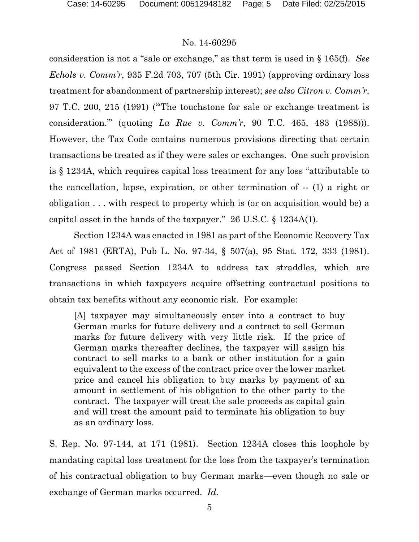consideration is not a "sale or exchange," as that term is used in § 165(f). *See Echols v. Comm'r*, 935 F.2d 703, 707 (5th Cir. 1991) (approving ordinary loss treatment for abandonment of partnership interest); *see also Citron v. Comm'r*, 97 T.C. 200, 215 (1991) ("'The touchstone for sale or exchange treatment is consideration.'" (quoting *La Rue v. Comm'r*, 90 T.C. 465, 483 (1988))). However, the Tax Code contains numerous provisions directing that certain transactions be treated as if they were sales or exchanges. One such provision is § 1234A, which requires capital loss treatment for any loss "attributable to the cancellation, lapse, expiration, or other termination of -- (1) a right or obligation . . . with respect to property which is (or on acquisition would be) a capital asset in the hands of the taxpayer." 26 U.S.C. § 1234A(1).

Section 1234A was enacted in 1981 as part of the Economic Recovery Tax Act of 1981 (ERTA), Pub L. No. 97-34, § 507(a), 95 Stat. 172, 333 (1981). Congress passed Section 1234A to address tax straddles, which are transactions in which taxpayers acquire offsetting contractual positions to obtain tax benefits without any economic risk. For example:

[A] taxpayer may simultaneously enter into a contract to buy German marks for future delivery and a contract to sell German marks for future delivery with very little risk. If the price of German marks thereafter declines, the taxpayer will assign his contract to sell marks to a bank or other institution for a gain equivalent to the excess of the contract price over the lower market price and cancel his obligation to buy marks by payment of an amount in settlement of his obligation to the other party to the contract. The taxpayer will treat the sale proceeds as capital gain and will treat the amount paid to terminate his obligation to buy as an ordinary loss.

S. Rep. No. 97-144, at 171 (1981). Section 1234A closes this loophole by mandating capital loss treatment for the loss from the taxpayer's termination of his contractual obligation to buy German marks—even though no sale or exchange of German marks occurred. *Id.*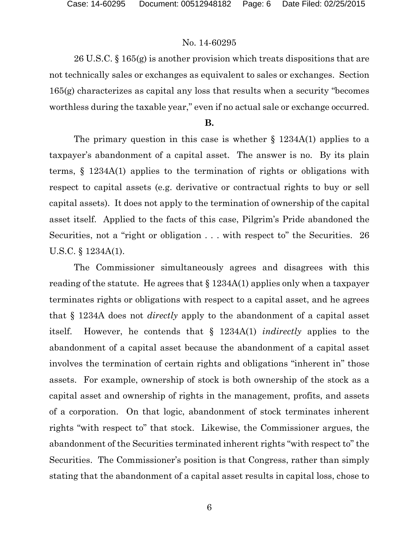26 U.S.C. § 165(g) is another provision which treats dispositions that are not technically sales or exchanges as equivalent to sales or exchanges. Section 165(g) characterizes as capital any loss that results when a security "becomes worthless during the taxable year," even if no actual sale or exchange occurred.

#### **B.**

The primary question in this case is whether  $\S$  1234A(1) applies to a taxpayer's abandonment of a capital asset. The answer is no. By its plain terms, § 1234A(1) applies to the termination of rights or obligations with respect to capital assets (e.g. derivative or contractual rights to buy or sell capital assets). It does not apply to the termination of ownership of the capital asset itself. Applied to the facts of this case, Pilgrim's Pride abandoned the Securities, not a "right or obligation . . . with respect to" the Securities. 26 U.S.C. § 1234A(1).

The Commissioner simultaneously agrees and disagrees with this reading of the statute. He agrees that § 1234A(1) applies only when a taxpayer terminates rights or obligations with respect to a capital asset, and he agrees that § 1234A does not *directly* apply to the abandonment of a capital asset itself. However, he contends that § 1234A(1) *indirectly* applies to the abandonment of a capital asset because the abandonment of a capital asset involves the termination of certain rights and obligations "inherent in" those assets. For example, ownership of stock is both ownership of the stock as a capital asset and ownership of rights in the management, profits, and assets of a corporation. On that logic, abandonment of stock terminates inherent rights "with respect to" that stock. Likewise, the Commissioner argues, the abandonment of the Securities terminated inherent rights "with respect to" the Securities. The Commissioner's position is that Congress, rather than simply stating that the abandonment of a capital asset results in capital loss, chose to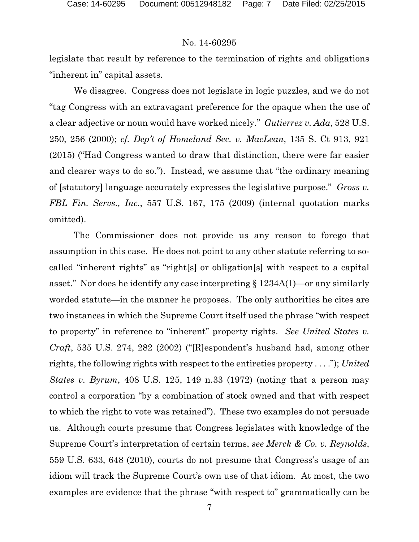legislate that result by reference to the termination of rights and obligations "inherent in" capital assets.

We disagree. Congress does not legislate in logic puzzles, and we do not "tag Congress with an extravagant preference for the opaque when the use of a clear adjective or noun would have worked nicely." *Gutierrez v. Ada*, 528 U.S. 250, 256 (2000); *cf. Dep't of Homeland Sec. v. MacLean*, 135 S. Ct 913, 921 (2015) ("Had Congress wanted to draw that distinction, there were far easier and clearer ways to do so."). Instead, we assume that "the ordinary meaning of [statutory] language accurately expresses the legislative purpose." *Gross v. FBL Fin. Servs., Inc.*, 557 U.S. 167, 175 (2009) (internal quotation marks omitted).

The Commissioner does not provide us any reason to forego that assumption in this case. He does not point to any other statute referring to socalled "inherent rights" as "right[s] or obligation[s] with respect to a capital asset." Nor does he identify any case interpreting § 1234A(1)—or any similarly worded statute—in the manner he proposes. The only authorities he cites are two instances in which the Supreme Court itself used the phrase "with respect to property" in reference to "inherent" property rights. *See United States v. Craft*, 535 U.S. 274, 282 (2002) ("[R]espondent's husband had, among other rights, the following rights with respect to the entireties property . . . ."); *United States v. Byrum*, 408 U.S. 125, 149 n.33 (1972) (noting that a person may control a corporation "by a combination of stock owned and that with respect to which the right to vote was retained"). These two examples do not persuade us. Although courts presume that Congress legislates with knowledge of the Supreme Court's interpretation of certain terms, *see Merck & Co. v. Reynolds*, 559 U.S. 633, 648 (2010), courts do not presume that Congress's usage of an idiom will track the Supreme Court's own use of that idiom. At most, the two examples are evidence that the phrase "with respect to" grammatically can be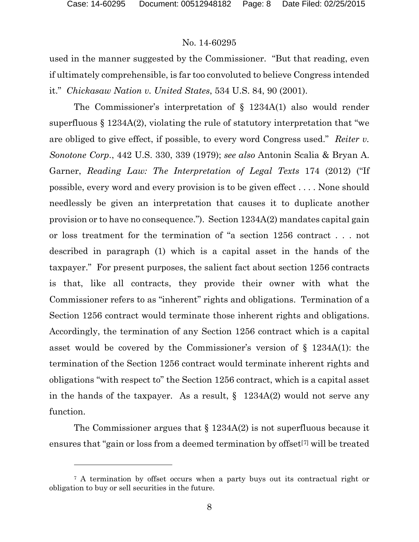#### No. 14-60295

used in the manner suggested by the Commissioner. "But that reading, even if ultimately comprehensible, is far too convoluted to believe Congress intended it." *Chickasaw Nation v. United States*, 534 U.S. 84, 90 (2001).

The Commissioner's interpretation of § 1234A(1) also would render superfluous  $\S 1234A(2)$ , violating the rule of statutory interpretation that "we are obliged to give effect, if possible, to every word Congress used." *Reiter v. Sonotone Corp.*, 442 U.S. 330, 339 (1979); *see also* Antonin Scalia & Bryan A. Garner, *Reading Law: The Interpretation of Legal Texts* 174 (2012) ("If possible, every word and every provision is to be given effect . . . . None should needlessly be given an interpretation that causes it to duplicate another provision or to have no consequence."). Section 1234A(2) mandates capital gain or loss treatment for the termination of "a section 1256 contract . . . not described in paragraph (1) which is a capital asset in the hands of the taxpayer." For present purposes, the salient fact about section 1256 contracts is that, like all contracts, they provide their owner with what the Commissioner refers to as "inherent" rights and obligations. Termination of a Section 1256 contract would terminate those inherent rights and obligations. Accordingly, the termination of any Section 1256 contract which is a capital asset would be covered by the Commissioner's version of § 1234A(1): the termination of the Section 1256 contract would terminate inherent rights and obligations "with respect to" the Section 1256 contract, which is a capital asset in the hands of the taxpayer. As a result,  $\S$  1234A(2) would not serve any function.

The Commissioner argues that § 1234A(2) is not superfluous because it ensures that "gain or loss from a deemed termination by offset<sup>[[7](#page-7-0)]</sup> will be treated

<span id="page-7-0"></span><sup>&</sup>lt;sup>7</sup> A termination by offset occurs when a party buys out its contractual right or obligation to buy or sell securities in the future.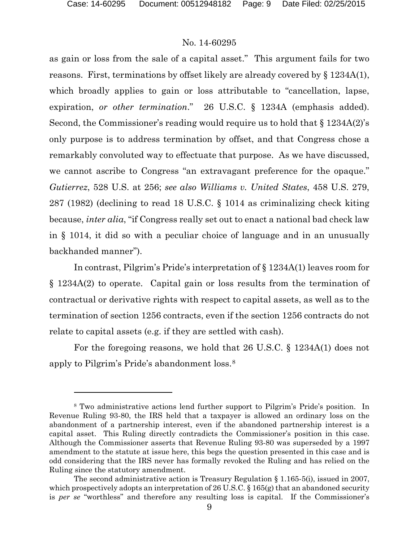#### No. 14-60295

as gain or loss from the sale of a capital asset." This argument fails for two reasons. First, terminations by offset likely are already covered by § 1234A(1), which broadly applies to gain or loss attributable to "cancellation, lapse, expiration, *or other termination*." 26 U.S.C. § 1234A (emphasis added). Second, the Commissioner's reading would require us to hold that § 1234A(2)'s only purpose is to address termination by offset, and that Congress chose a remarkably convoluted way to effectuate that purpose. As we have discussed, we cannot ascribe to Congress "an extravagant preference for the opaque." *Gutierrez*, 528 U.S. at 256; *see also Williams v. United States*, 458 U.S. 279, 287 (1982) (declining to read 18 U.S.C. § 1014 as criminalizing check kiting because, *inter alia*, "if Congress really set out to enact a national bad check law in § 1014, it did so with a peculiar choice of language and in an unusually backhanded manner").

In contrast, Pilgrim's Pride's interpretation of § 1234A(1) leaves room for § 1234A(2) to operate. Capital gain or loss results from the termination of contractual or derivative rights with respect to capital assets, as well as to the termination of section 1256 contracts, even if the section 1256 contracts do not relate to capital assets (e.g. if they are settled with cash).

For the foregoing reasons, we hold that 26 U.S.C. § 1234A(1) does not apply to Pilgrim's Pride's abandonment loss.[8](#page-8-0)

<span id="page-8-0"></span><sup>8</sup> Two administrative actions lend further support to Pilgrim's Pride's position. In Revenue Ruling 93-80, the IRS held that a taxpayer is allowed an ordinary loss on the abandonment of a partnership interest, even if the abandoned partnership interest is a capital asset. This Ruling directly contradicts the Commissioner's position in this case. Although the Commissioner asserts that Revenue Ruling 93-80 was superseded by a 1997 amendment to the statute at issue here, this begs the question presented in this case and is odd considering that the IRS never has formally revoked the Ruling and has relied on the Ruling since the statutory amendment.

The second administrative action is Treasury Regulation  $\S 1.165-5(i)$ , issued in 2007, which prospectively adopts an interpretation of 26 U.S.C.  $\S$  165(g) that an abandoned security is *per se* "worthless" and therefore any resulting loss is capital. If the Commissioner's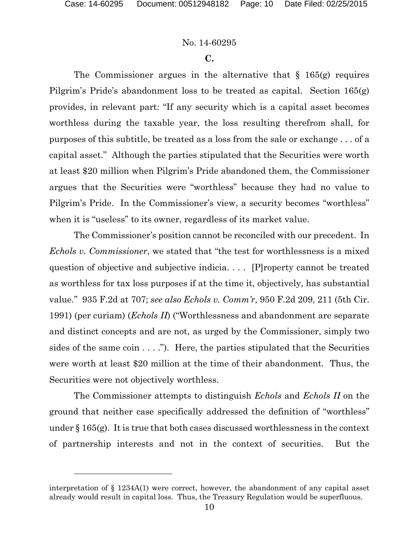l

#### No. 14-60295

#### **C.**

The Commissioner argues in the alternative that  $\S$  165(g) requires Pilgrim's Pride's abandonment loss to be treated as capital. Section 165(g) provides, in relevant part: "If any security which is a capital asset becomes worthless during the taxable year, the loss resulting therefrom shall, for purposes of this subtitle, be treated as a loss from the sale or exchange . . . of a capital asset." Although the parties stipulated that the Securities were worth at least \$20 million when Pilgrim's Pride abandoned them, the Commissioner argues that the Securities were "worthless" because they had no value to Pilgrim's Pride. In the Commissioner's view, a security becomes "worthless" when it is "useless" to its owner, regardless of its market value.

The Commissioner's position cannot be reconciled with our precedent. In *Echols v. Commissioner*, we stated that "the test for worthlessness is a mixed question of objective and subjective indicia. . . . [P]roperty cannot be treated as worthless for tax loss purposes if at the time it, objectively, has substantial value." 935 F.2d at 707; *see also Echols v. Comm'r*, 950 F.2d 209, 211 (5th Cir. 1991) (per curiam) (*Echols II*) ("Worthlessness and abandonment are separate and distinct concepts and are not, as urged by the Commissioner, simply two sides of the same coin  $\dots$ ."). Here, the parties stipulated that the Securities were worth at least \$20 million at the time of their abandonment. Thus, the Securities were not objectively worthless.

The Commissioner attempts to distinguish *Echols* and *Echols II* on the ground that neither case specifically addressed the definition of "worthless" under  $\S 165(g)$ . It is true that both cases discussed worthlessness in the context of partnership interests and not in the context of securities. But the

interpretation of § 1234A(1) were correct, however, the abandonment of any capital asset already would result in capital loss. Thus, the Treasury Regulation would be superfluous.